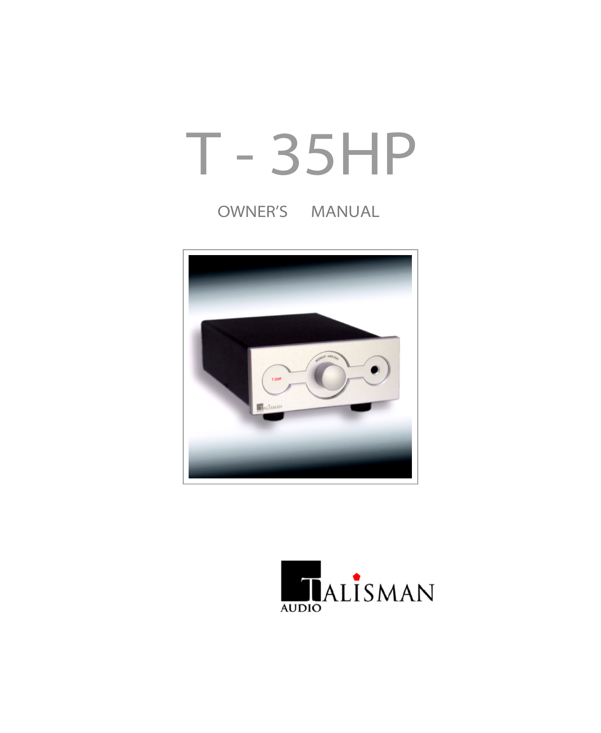# T - 35HP

## OWNER'S MANUAL



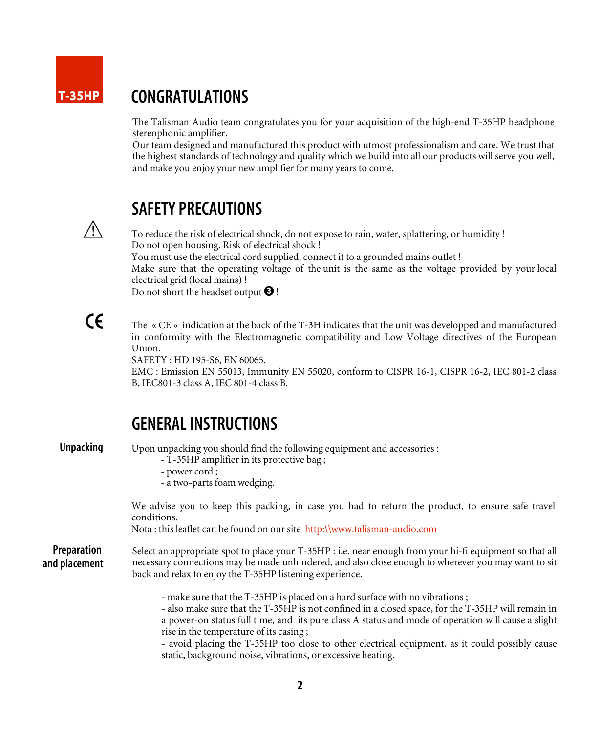### T-35HP

## CONGRATULATIONS

The Talisman Audio team congratulates you for your acquisition of the high-end T-35HP headphone stereophonic amplifier.

Our team designed and manufactured this product with utmost professionalism and care. We trust that the highest standards of technology and quality which we build into all our products will serve you well, and make you enjoy your new amplifier for many years to come.



## SAFETY PRECAUTIONS

To reduce the risk of electrical shock, do not expose to rain, water, splattering, or humidity ! Do not open housing. Risk of electrical shock ! You must use the electrical cord supplied, connect it to a grounded mains outlet ! Make sure that the operating voltage of the unit is the same as the voltage provided by your local electrical grid (local mains) ! Do not short the headset output  $\bigcirc$  !

 $\epsilon$ 

The « CE » indication at the back of the T-3H indicates that the unit was developped and manufactured in conformity with the Electromagnetic compatibility and Low Voltage directives of the European Union.

SAFETY : HD 195-S6, EN 60065.

EMC : Emission EN 55013, Immunity EN 55020, conform to CISPR 16-1, CISPR 16-2, IEC 801-2 class B, IEC801-3 class A, IEC 801-4 class B.

## GENERALINSTRUCTIONS

Unpacking

Upon unpacking you should find the following equipment and accessories :

- T-35HP amplifier in its protective bag ;
- power cord ;

- a two-parts foam wedging.

We advise you to keep this packing, in case you had to return the product, to ensure safe travel conditions.

Nota : this leaflet can be found on our site http:\\www.talisman-audio.com

Preparation and placement Select an appropriate spot to place your T-35HP : i.e. near enough from your hi-fi equipment so that all necessary connections may be made unhindered, and also close enough to wherever you may want to sit back and relax to enjoy the T-35HP listening experience.

- make sure that the T-35HP is placed on a hard surface with no vibrations ;

- also make sure that the T-35HP is not confined in a closed space, for the T-35HP will remain in a power-on status full time, and its pure class A status and mode of operation will cause a slight rise in the temperature of its casing ;

- avoid placing the T-35HP too close to other electrical equipment, as it could possibly cause static, background noise, vibrations, or excessive heating.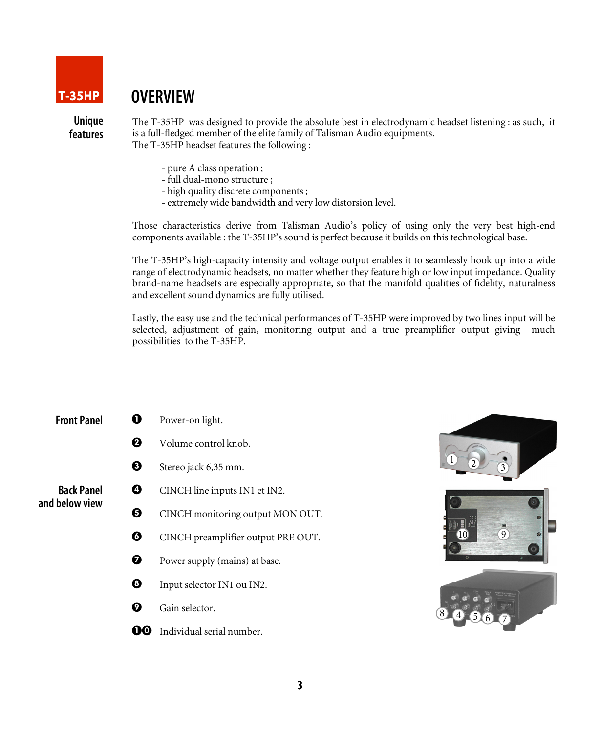

## **OVERVIEW**

Unique features The T-35HP was designed to provide the absolute best in electrodynamic headset listening : as such, it is a full-fledged member of the elite family of Talisman Audio equipments. The T-35HP headset features the following :

- pure A class operation ;
- full dual-mono structure ;
- high quality discrete components ;
- extremely wide bandwidth and very low distorsion level.

Those characteristics derive from Talisman Audio's policy of using only the very best high-end components available : the T-35HP's sound is perfect because it builds on this technological base.

The T-35HP's high-capacity intensity and voltage output enables it to seamlessly hook up into a wide range of electrodynamic headsets, no matter whether they feature high or low input impedance. Quality brand-name headsets are especially appropriate, so that the manifold qualities of fidelity, naturalness and excellent sound dynamics are fully utilised.

Lastly, the easy use and the technical performances of T-35HP were improved by two lines input will be selected, adjustment of gain, monitoring output and a true preamplifier output giving much possibilities to the T-35HP.

| <b>Front Panel</b>                  |   | Power-on light.                    |
|-------------------------------------|---|------------------------------------|
|                                     | ❷ | Volume control knob.               |
|                                     | ❸ | Stereo jack 6,35 mm.               |
| <b>Back Panel</b><br>and below view | Ø | CINCH line inputs IN1 et IN2.      |
|                                     | Ø | CINCH monitoring output MON OUT.   |
|                                     | Ø | CINCH preamplifier output PRE OUT. |
|                                     | Ø | Power supply (mains) at base.      |
|                                     | ❸ | Input selector IN1 ou IN2.         |
|                                     |   | Gain selector.                     |

**00** Individual serial number.

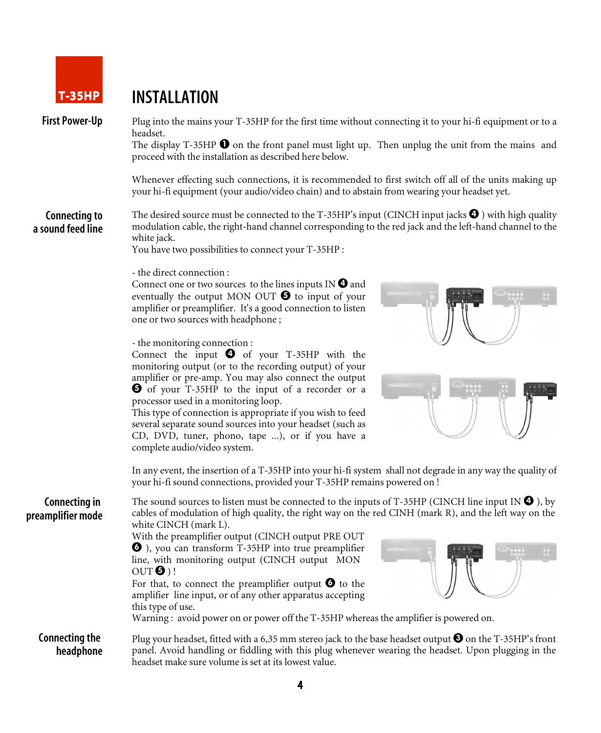

## T-35HP INSTALLATION

First Power-Up Plug into the mains your T-35HP for the first time without connecting it to your hi-fi equipment or to a headset.

The display T-35HP  $\bullet$  on the front panel must light up. Then unplug the unit from the mains and proceed with the installation as described here below.

Whenever effecting such connections, it is recommended to first switch off all of the units making up your hi-fi equipment (your audio/video chain) and to abstain from wearing your headset yet.

Connecting to a sound feed line The desired source must be connected to the T-35HP's input (CINCH input jacks  $\bigcirc$ ) with high quality modulation cable, the right-hand channel corresponding to the red jack and the left-hand channel to the white jack.

You have two possibilities to connect your T-35HP :

#### - the direct connection :

Connect one or two sources to the lines inputs IN  $\bullet$  and eventually the output MON OUT  $\Theta$  to input of your amplifier or preamplifier. It's a good connection to listen one or two sources with headphone ;

#### - the monitoring connection :

Connect the input  $\bullet$  of your T-35HP with the monitoring output (or to the recording output) of your amplifier or pre-amp. You may also connect the output of your T-35HP to the input of a recorder or a processor used in a monitoring loop.

This type of connection is appropriate if you wish to feed several separate sound sources into your headset (such as CD, DVD, tuner, phono, tape ...), or if you have a complete audio/video system.



In any event, the insertion of a T-35HP into your hi-fi system shall not degrade in any way the quality of your hi-fi sound connections, provided your T-35HP remains powered on !

Connecting in preamplifier mode The sound sources to listen must be connected to the inputs of T-35HP (CINCH line input IN  $\bigcirc$ ), by cables of modulation of high quality, the right way on the red CINH (mark R), and the left way on the white CINCH (mark L).

With the preamplifier output (CINCH output PRE OUT ), you can transform T-35HP into true preamplifier line, with monitoring output (CINCH output MON  $OUT③$  ! For that, to connect the preamplifier output  $\bullet$  to the amplifier line input, or of any other apparatus accepting



#### this type of use. Warning : avoid power on or power off the T-35HP whereas the amplifier is powered on.

Connecting the headphone Plug your headset, fitted with a 6,35 mm stereo jack to the base headset output  $\bigcirc$  on the T-35HP's front panel. Avoid handling or fiddling with this plug whenever wearing the headset. Upon plugging in the headset make sure volume is set at its lowest value.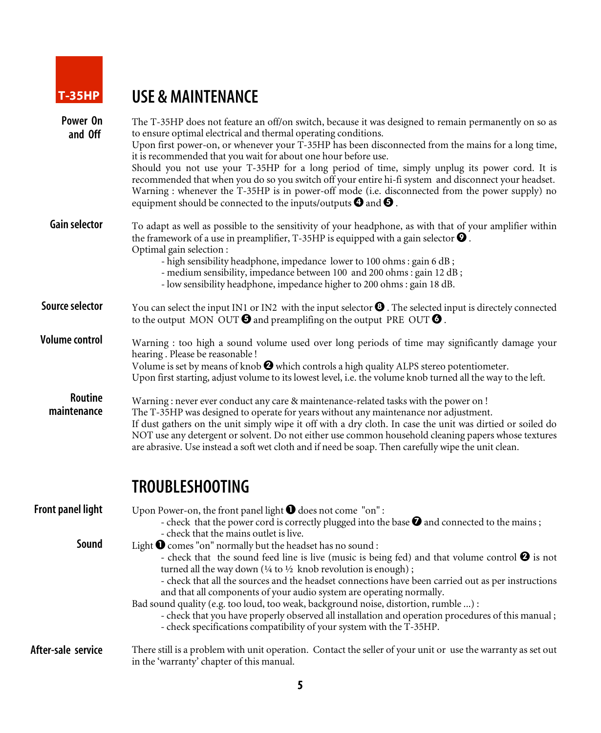

# T-35HP USE & MAINTENANCE

| Power On<br>and Off      | The T-35HP does not feature an off/on switch, because it was designed to remain permanently on so as<br>to ensure optimal electrical and thermal operating conditions.<br>Upon first power-on, or whenever your T-35HP has been disconnected from the mains for a long time,<br>it is recommended that you wait for about one hour before use.<br>Should you not use your T-35HP for a long period of time, simply unplug its power cord. It is<br>recommended that when you do so you switch off your entire hi-fi system and disconnect your headset.<br>Warning : whenever the T-35HP is in power-off mode (i.e. disconnected from the power supply) no<br>equipment should be connected to the inputs/outputs $\boldsymbol{\Theta}$ and $\boldsymbol{\Theta}$ . |
|--------------------------|---------------------------------------------------------------------------------------------------------------------------------------------------------------------------------------------------------------------------------------------------------------------------------------------------------------------------------------------------------------------------------------------------------------------------------------------------------------------------------------------------------------------------------------------------------------------------------------------------------------------------------------------------------------------------------------------------------------------------------------------------------------------|
| <b>Gain selector</b>     | To adapt as well as possible to the sensitivity of your headphone, as with that of your amplifier within<br>the framework of a use in preamplifier, T-35HP is equipped with a gain selector $\bullet$ .<br>Optimal gain selection:<br>- high sensibility headphone, impedance lower to 100 ohms : gain 6 dB;<br>- medium sensibility, impedance between 100 and 200 ohms : gain 12 dB;<br>- low sensibility headphone, impedance higher to 200 ohms : gain 18 dB.                                                                                                                                                                                                                                                                                                   |
| <b>Source selector</b>   | You can select the input IN1 or IN2 with the input selector <sup>1</sup> . The selected input is directely connected<br>to the output MON OUT $\Theta$ and preamplifing on the output PRE OUT $\Theta$ .                                                                                                                                                                                                                                                                                                                                                                                                                                                                                                                                                            |
| <b>Volume control</b>    | Warning : too high a sound volume used over long periods of time may significantly damage your<br>hearing. Please be reasonable!<br>Volume is set by means of knob $\bigcirc$ which controls a high quality ALPS stereo potentiometer.<br>Upon first starting, adjust volume to its lowest level, i.e. the volume knob turned all the way to the left.                                                                                                                                                                                                                                                                                                                                                                                                              |
| Routine<br>maintenance   | Warning : never ever conduct any care & maintenance-related tasks with the power on !<br>The T-35HP was designed to operate for years without any maintenance nor adjustment.<br>If dust gathers on the unit simply wipe it off with a dry cloth. In case the unit was dirtied or soiled do<br>NOT use any detergent or solvent. Do not either use common household cleaning papers whose textures<br>are abrasive. Use instead a soft wet cloth and if need be soap. Then carefully wipe the unit clean.                                                                                                                                                                                                                                                           |
|                          | <b>TROUBLESHOOTING</b>                                                                                                                                                                                                                                                                                                                                                                                                                                                                                                                                                                                                                                                                                                                                              |
| <b>Front panel light</b> | Upon Power-on, the front panel light $\bigcirc$ does not come "on":<br>- check that the power cord is correctly plugged into the base $\bullet$ and connected to the mains;<br>- check that the mains outlet is live.                                                                                                                                                                                                                                                                                                                                                                                                                                                                                                                                               |
| Sound                    | Light $\bigcirc$ comes "on" normally but the headset has no sound :<br>- check that the sound feed line is live (music is being fed) and that volume control $\bigcirc$ is not<br>turned all the way down ( $\frac{1}{4}$ to $\frac{1}{2}$ knob revolution is enough);<br>- check that all the sources and the headset connections have been carried out as per instructions<br>and that all components of your audio system are operating normally.<br>Bad sound quality (e.g. too loud, too weak, background noise, distortion, rumble ) :<br>- check that you have properly observed all installation and operation procedures of this manual;<br>- check specifications compatibility of your system with the T-35HP.                                           |
| After-sale service       | There still is a problem with unit operation. Contact the seller of your unit or use the warranty as set out<br>in the 'warranty' chapter of this manual.                                                                                                                                                                                                                                                                                                                                                                                                                                                                                                                                                                                                           |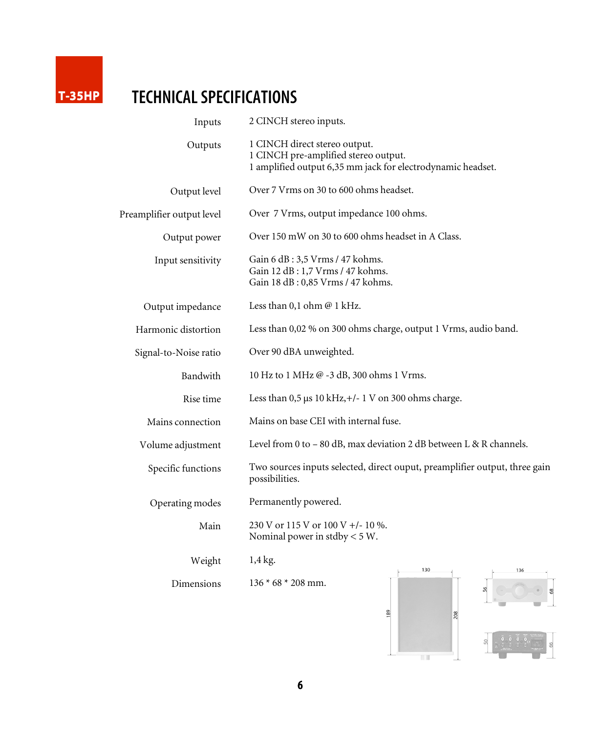

# T-35HP TECHNICALSPECIFICATIONS

| Inputs                    | 2 CINCH stereo inputs.                                                                                                               |  |  |  |
|---------------------------|--------------------------------------------------------------------------------------------------------------------------------------|--|--|--|
| Outputs                   | 1 CINCH direct stereo output.<br>1 CINCH pre-amplified stereo output.<br>1 amplified output 6,35 mm jack for electrodynamic headset. |  |  |  |
| Output level              | Over 7 Vrms on 30 to 600 ohms headset.                                                                                               |  |  |  |
| Preamplifier output level | Over 7 Vrms, output impedance 100 ohms.                                                                                              |  |  |  |
| Output power              | Over 150 mW on 30 to 600 ohms headset in A Class.                                                                                    |  |  |  |
| Input sensitivity         | Gain 6 dB: 3,5 Vrms / 47 kohms.<br>Gain 12 dB: 1,7 Vrms / 47 kohms.<br>Gain 18 dB: 0,85 Vrms / 47 kohms.                             |  |  |  |
| Output impedance          | Less than 0,1 ohm @ 1 kHz.                                                                                                           |  |  |  |
| Harmonic distortion       | Less than 0,02 % on 300 ohms charge, output 1 Vrms, audio band.                                                                      |  |  |  |
| Signal-to-Noise ratio     | Over 90 dBA unweighted.                                                                                                              |  |  |  |
| Bandwith                  | 10 Hz to 1 MHz @ -3 dB, 300 ohms 1 Vrms.                                                                                             |  |  |  |
| Rise time                 | Less than $0.5 \mu s 10 \text{ kHz}, +/- 1 \text{ V}$ on 300 ohms charge.                                                            |  |  |  |
| Mains connection          | Mains on base CEI with internal fuse.                                                                                                |  |  |  |
| Volume adjustment         | Level from 0 to $-80$ dB, max deviation 2 dB between L & R channels.                                                                 |  |  |  |
| Specific functions        | Two sources inputs selected, direct ouput, preamplifier output, three gain<br>possibilities.                                         |  |  |  |
| Operating modes           | Permanently powered.                                                                                                                 |  |  |  |
| Main                      | 230 V or 115 V or 100 V +/- 10 %.<br>Nominal power in stdby $<$ 5 W.                                                                 |  |  |  |
| Weight                    | 1,4 kg.<br>130                                                                                                                       |  |  |  |
| Dimensions                | $136 * 68 * 208$ mm.<br>89<br>8                                                                                                      |  |  |  |



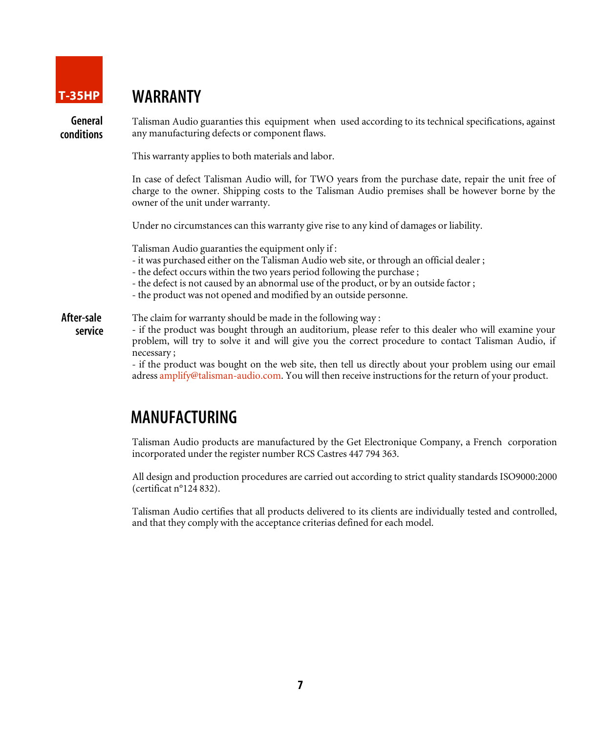

## T-35HP WARRANTY

General conditions Talisman Audio guaranties this equipment when used according to its technical specifications, against any manufacturing defects or component flaws.

This warranty applies to both materials and labor.

In case of defect Talisman Audio will, for TWO years from the purchase date, repair the unit free of charge to the owner. Shipping costs to the Talisman Audio premises shall be however borne by the owner of the unit under warranty.

Under no circumstances can this warranty give rise to any kind of damages or liability.

Talisman Audio guaranties the equipment only if :

- it was purchased either on the Talisman Audio web site, or through an official dealer ;
- the defect occurs within the two years period following the purchase ;
- the defect is not caused by an abnormal use of the product, or by an outside factor ;
- the product was not opened and modified by an outside personne.

The claim for warranty should be made in the following way : After-sale

- if the product was bought through an auditorium, please refer to this dealer who will examine your problem, will try to solve it and will give you the correct procedure to contact Talisman Audio, if necessary ; service

> - if the product was bought on the web site, then tell us directly about your problem using our email adress amplify@talisman-audio.com. You will then receive instructions for the return of your product.

## MANUFACTURING

Talisman Audio products are manufactured by the Get Electronique Company, a French corporation incorporated under the register number RCS Castres 447 794 363.

All design and production procedures are carried out according to strict quality standards ISO9000:2000 (certificat n°124 832).

Talisman Audio certifies that all products delivered to its clients are individually tested and controlled, and that they comply with the acceptance criterias defined for each model.